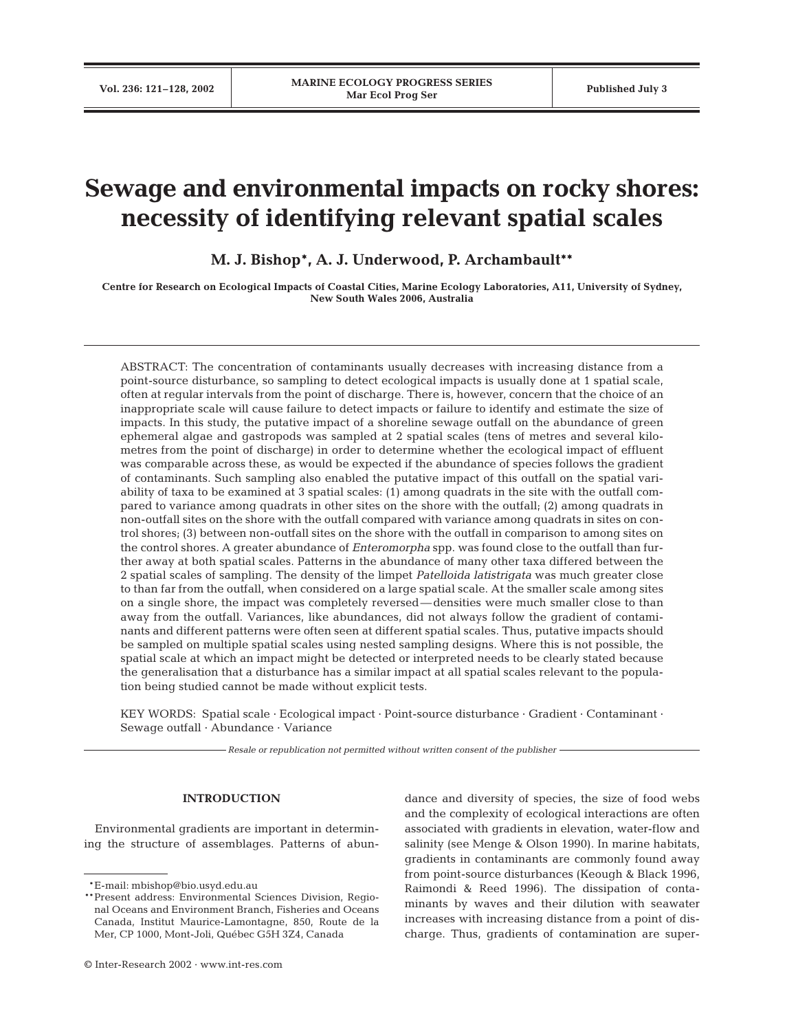# **Sewage and environmental impacts on rocky shores: necessity of identifying relevant spatial scales**

**M. J. Bishop\*, A. J. Underwood, P. Archambault\*\***

**Centre for Research on Ecological Impacts of Coastal Cities, Marine Ecology Laboratories, A11, University of Sydney, New South Wales 2006, Australia**

ABSTRACT: The concentration of contaminants usually decreases with increasing distance from a point-source disturbance, so sampling to detect ecological impacts is usually done at 1 spatial scale, often at regular intervals from the point of discharge. There is, however, concern that the choice of an inappropriate scale will cause failure to detect impacts or failure to identify and estimate the size of impacts. In this study, the putative impact of a shoreline sewage outfall on the abundance of green ephemeral algae and gastropods was sampled at 2 spatial scales (tens of metres and several kilometres from the point of discharge) in order to determine whether the ecological impact of effluent was comparable across these, as would be expected if the abundance of species follows the gradient of contaminants. Such sampling also enabled the putative impact of this outfall on the spatial variability of taxa to be examined at 3 spatial scales: (1) among quadrats in the site with the outfall compared to variance among quadrats in other sites on the shore with the outfall; (2) among quadrats in non-outfall sites on the shore with the outfall compared with variance among quadrats in sites on control shores; (3) between non-outfall sites on the shore with the outfall in comparison to among sites on the control shores. A greater abundance of *Enteromorpha* spp. was found close to the outfall than further away at both spatial scales. Patterns in the abundance of many other taxa differed between the 2 spatial scales of sampling. The density of the limpet *Patelloida latistrigata* was much greater close to than far from the outfall, when considered on a large spatial scale. At the smaller scale among sites on a single shore, the impact was completely reversed—densities were much smaller close to than away from the outfall. Variances, like abundances, did not always follow the gradient of contaminants and different patterns were often seen at different spatial scales. Thus, putative impacts should be sampled on multiple spatial scales using nested sampling designs. Where this is not possible, the spatial scale at which an impact might be detected or interpreted needs to be clearly stated because the generalisation that a disturbance has a similar impact at all spatial scales relevant to the population being studied cannot be made without explicit tests.

KEY WORDS: Spatial scale · Ecological impact · Point-source disturbance · Gradient · Contaminant · Sewage outfall · Abundance · Variance

*Resale or republication not permitted without written consent of the publisher*

## **INTRODUCTION**

Environmental gradients are important in determining the structure of assemblages. Patterns of abundance and diversity of species, the size of food webs and the complexity of ecological interactions are often associated with gradients in elevation, water-flow and salinity (see Menge & Olson 1990). In marine habitats, gradients in contaminants are commonly found away from point-source disturbances (Keough & Black 1996, Raimondi & Reed 1996). The dissipation of contaminants by waves and their dilution with seawater increases with increasing distance from a point of discharge. Thus, gradients of contamination are super-

<sup>\*\*</sup>E-mail: mbishop@bio.usyd.edu.au

<sup>\*\*</sup>Present address: Environmental Sciences Division, Regional Oceans and Environment Branch, Fisheries and Oceans Canada, Institut Maurice-Lamontagne, 850, Route de la Mer, CP 1000, Mont-Joli, Québec G5H 3Z4, Canada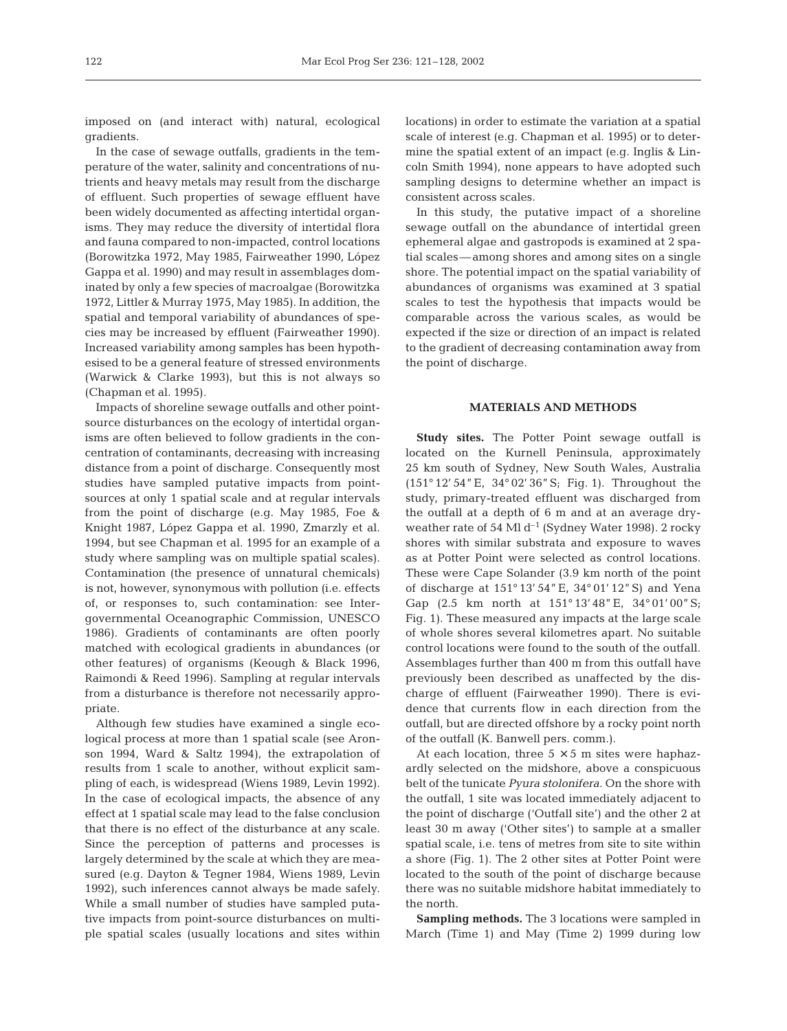imposed on (and interact with) natural, ecological gradients.

In the case of sewage outfalls, gradients in the temperature of the water, salinity and concentrations of nutrients and heavy metals may result from the discharge of effluent. Such properties of sewage effluent have been widely documented as affecting intertidal organisms. They may reduce the diversity of intertidal flora and fauna compared to non-impacted, control locations (Borowitzka 1972, May 1985, Fairweather 1990, López Gappa et al. 1990) and may result in assemblages dominated by only a few species of macroalgae (Borowitzka 1972, Littler & Murray 1975, May 1985). In addition, the spatial and temporal variability of abundances of species may be increased by effluent (Fairweather 1990). Increased variability among samples has been hypothesised to be a general feature of stressed environments (Warwick & Clarke 1993), but this is not always so (Chapman et al. 1995).

Impacts of shoreline sewage outfalls and other pointsource disturbances on the ecology of intertidal organisms are often believed to follow gradients in the concentration of contaminants, decreasing with increasing distance from a point of discharge. Consequently most studies have sampled putative impacts from pointsources at only 1 spatial scale and at regular intervals from the point of discharge (e.g. May 1985, Foe & Knight 1987, López Gappa et al. 1990, Zmarzly et al. 1994, but see Chapman et al. 1995 for an example of a study where sampling was on multiple spatial scales). Contamination (the presence of unnatural chemicals) is not, however, synonymous with pollution (i.e. effects of, or responses to, such contamination: see Intergovernmental Oceanographic Commission, UNESCO 1986). Gradients of contaminants are often poorly matched with ecological gradients in abundances (or other features) of organisms (Keough & Black 1996, Raimondi & Reed 1996). Sampling at regular intervals from a disturbance is therefore not necessarily appropriate.

Although few studies have examined a single ecological process at more than 1 spatial scale (see Aronson 1994, Ward & Saltz 1994), the extrapolation of results from 1 scale to another, without explicit sampling of each, is widespread (Wiens 1989, Levin 1992). In the case of ecological impacts, the absence of any effect at 1 spatial scale may lead to the false conclusion that there is no effect of the disturbance at any scale. Since the perception of patterns and processes is largely determined by the scale at which they are measured (e.g. Dayton & Tegner 1984, Wiens 1989, Levin 1992), such inferences cannot always be made safely. While a small number of studies have sampled putative impacts from point-source disturbances on multiple spatial scales (usually locations and sites within locations) in order to estimate the variation at a spatial scale of interest (e.g. Chapman et al. 1995) or to determine the spatial extent of an impact (e.g. Inglis & Lincoln Smith 1994), none appears to have adopted such sampling designs to determine whether an impact is consistent across scales.

In this study, the putative impact of a shoreline sewage outfall on the abundance of intertidal green ephemeral algae and gastropods is examined at 2 spatial scales—among shores and among sites on a single shore. The potential impact on the spatial variability of abundances of organisms was examined at 3 spatial scales to test the hypothesis that impacts would be comparable across the various scales, as would be expected if the size or direction of an impact is related to the gradient of decreasing contamination away from the point of discharge.

# **MATERIALS AND METHODS**

**Study sites.** The Potter Point sewage outfall is located on the Kurnell Peninsula, approximately 25 km south of Sydney, New South Wales, Australia (151° 12' 54"E, 34° 02' 36"S; Fig. 1). Throughout the study, primary-treated effluent was discharged from the outfall at a depth of 6 m and at an average dryweather rate of 54 Ml  $d^{-1}$  (Sydney Water 1998). 2 rocky shores with similar substrata and exposure to waves as at Potter Point were selected as control locations. These were Cape Solander (3.9 km north of the point of discharge at 151° 13' 54"E, 34° 01' 12"S) and Yena Gap (2.5 km north at 151° 13'48"E, 34° 01' 00"S; Fig. 1). These measured any impacts at the large scale of whole shores several kilometres apart. No suitable control locations were found to the south of the outfall. Assemblages further than 400 m from this outfall have previously been described as unaffected by the discharge of effluent (Fairweather 1990). There is evidence that currents flow in each direction from the outfall, but are directed offshore by a rocky point north of the outfall (K. Banwell pers. comm.).

At each location, three  $5 \times 5$  m sites were haphazardly selected on the midshore, above a conspicuous belt of the tunicate *Pyura stolonifera*. On the shore with the outfall, 1 site was located immediately adjacent to the point of discharge ('Outfall site') and the other 2 at least 30 m away ('Other sites') to sample at a smaller spatial scale, i.e. tens of metres from site to site within a shore (Fig. 1). The 2 other sites at Potter Point were located to the south of the point of discharge because there was no suitable midshore habitat immediately to the north.

**Sampling methods.** The 3 locations were sampled in March (Time 1) and May (Time 2) 1999 during low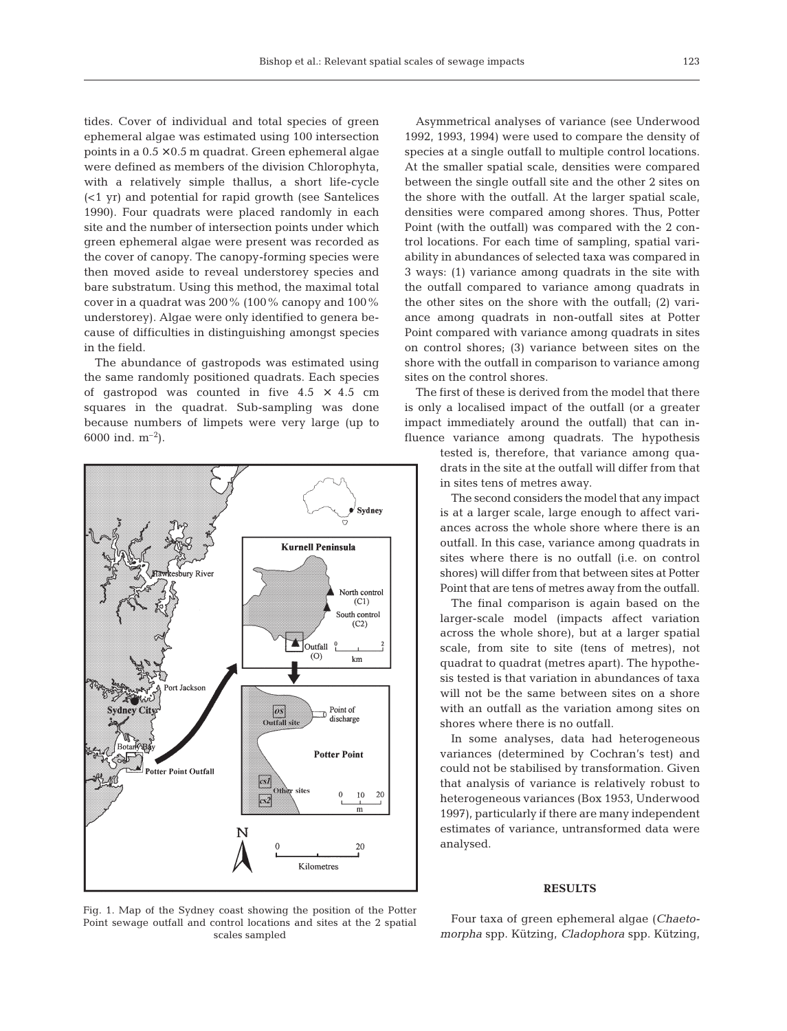tides. Cover of individual and total species of green ephemeral algae was estimated using 100 intersection points in a  $0.5 \times 0.5$  m quadrat. Green ephemeral algae were defined as members of the division Chlorophyta, with a relatively simple thallus, a short life-cycle (<1 yr) and potential for rapid growth (see Santelices 1990). Four quadrats were placed randomly in each site and the number of intersection points under which green ephemeral algae were present was recorded as the cover of canopy. The canopy-forming species were then moved aside to reveal understorey species and bare substratum. Using this method, the maximal total cover in a quadrat was 200% (100% canopy and 100% understorey). Algae were only identified to genera because of difficulties in distinguishing amongst species in the field.

The abundance of gastropods was estimated using the same randomly positioned quadrats. Each species of gastropod was counted in five  $4.5 \times 4.5$  cm squares in the quadrat. Sub-sampling was done because numbers of limpets were very large (up to 6000 ind.  $m^{-2}$ ).



Asymmetrical analyses of variance (see Underwood 1992, 1993, 1994) were used to compare the density of species at a single outfall to multiple control locations. At the smaller spatial scale, densities were compared between the single outfall site and the other 2 sites on the shore with the outfall. At the larger spatial scale, densities were compared among shores. Thus, Potter Point (with the outfall) was compared with the 2 control locations. For each time of sampling, spatial variability in abundances of selected taxa was compared in 3 ways: (1) variance among quadrats in the site with the outfall compared to variance among quadrats in the other sites on the shore with the outfall; (2) variance among quadrats in non-outfall sites at Potter Point compared with variance among quadrats in sites on control shores; (3) variance between sites on the shore with the outfall in comparison to variance among sites on the control shores.

The first of these is derived from the model that there is only a localised impact of the outfall (or a greater impact immediately around the outfall) that can influence variance among quadrats. The hypothesis

> tested is, therefore, that variance among quadrats in the site at the outfall will differ from that in sites tens of metres away.

> The second considers the model that any impact is at a larger scale, large enough to affect variances across the whole shore where there is an outfall. In this case, variance among quadrats in sites where there is no outfall (i.e. on control shores) will differ from that between sites at Potter Point that are tens of metres away from the outfall.

> The final comparison is again based on the larger-scale model (impacts affect variation across the whole shore), but at a larger spatial scale, from site to site (tens of metres), not quadrat to quadrat (metres apart). The hypothesis tested is that variation in abundances of taxa will not be the same between sites on a shore with an outfall as the variation among sites on shores where there is no outfall.

> In some analyses, data had heterogeneous variances (determined by Cochran's test) and could not be stabilised by transformation. Given that analysis of variance is relatively robust to heterogeneous variances (Box 1953, Underwood 1997), particularly if there are many independent estimates of variance, untransformed data were analysed.

# **RESULTS**

Fig. 1. Map of the Sydney coast showing the position of the Potter Point sewage outfall and control locations and sites at the 2 spatial scales sampled

Four taxa of green ephemeral algae (*Chaetomorpha* spp. Kützing, *Cladophora* spp. Kützing,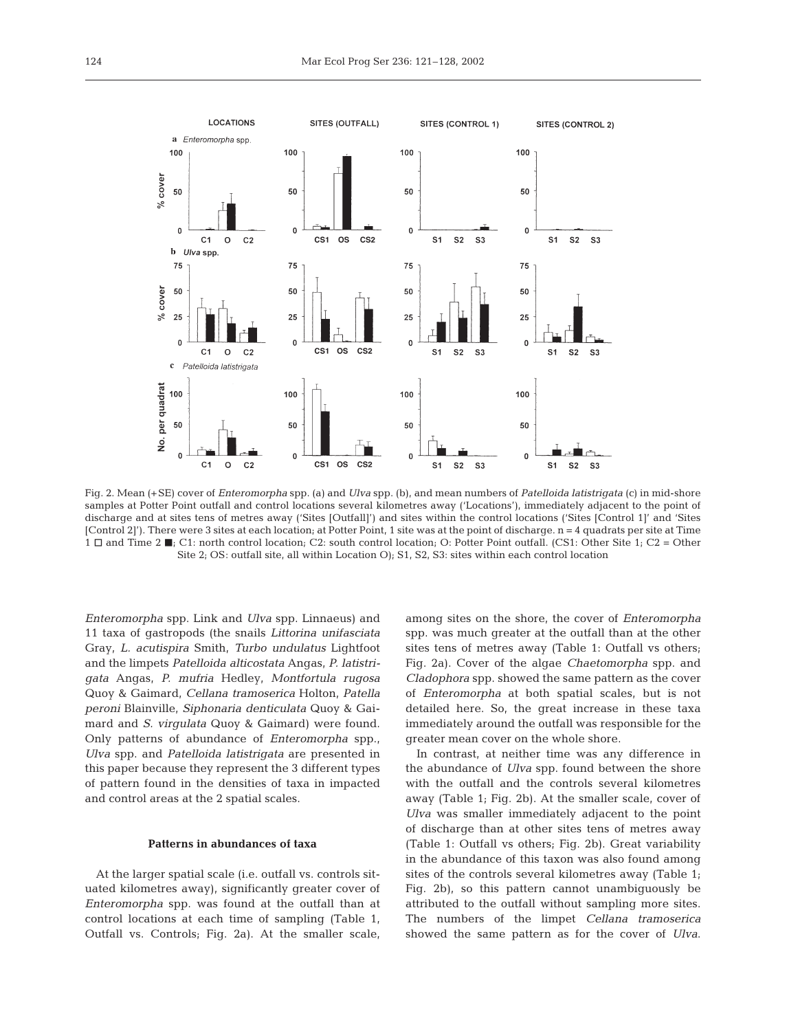

Fig. 2. Mean (+SE) cover of *Enteromorpha* spp. (a) and *Ulva* spp. (b), and mean numbers of *Patelloida latistrigata* (c) in mid-shore samples at Potter Point outfall and control locations several kilometres away ('Locations'), immediately adjacent to the point of discharge and at sites tens of metres away ('Sites [Outfall]') and sites within the control locations ('Sites [Control 1]' and 'Sites [Control 2]'). There were 3 sites at each location; at Potter Point, 1 site was at the point of discharge. n = 4 quadrats per site at Time  $1 \square$  and Time 2  $\blacksquare$ ; C1: north control location; C2: south control location; O: Potter Point outfall. (CS1: Other Site 1; C2 = Other Site 2; OS: outfall site, all within Location O); S1, S2, S3: sites within each control location

*Enteromorpha* spp. Link and *Ulva* spp. Linnaeus) and 11 taxa of gastropods (the snails *Littorina unifasciata* Gray*, L. acutispira* Smith, *Turbo undulatus* Lightfoot and the limpets *Patelloida alticostata* Angas*, P. latistrigata* Angas*, P. mufria* Hedley*, Montfortula rugosa* Quoy & Gaimard*, Cellana tramoserica* Holton*, Patella peroni* Blainville*, Siphonaria denticulata* Quoy & Gaimard and *S. virgulata* Quoy & Gaimard) were found. Only patterns of abundance of *Enteromorpha* spp., *Ulva* spp. and *Patelloida latistrigata* are presented in this paper because they represent the 3 different types of pattern found in the densities of taxa in impacted and control areas at the 2 spatial scales.

#### **Patterns in abundances of taxa**

At the larger spatial scale (i.e. outfall vs. controls situated kilometres away), significantly greater cover of *Enteromorpha* spp. was found at the outfall than at control locations at each time of sampling (Table 1, Outfall vs. Controls; Fig. 2a). At the smaller scale,

among sites on the shore, the cover of *Enteromorpha* spp. was much greater at the outfall than at the other sites tens of metres away (Table 1: Outfall vs others; Fig. 2a). Cover of the algae *Chaetomorpha* spp. and *Cladophora* spp. showed the same pattern as the cover of *Enteromorpha* at both spatial scales, but is not detailed here. So, the great increase in these taxa immediately around the outfall was responsible for the greater mean cover on the whole shore.

In contrast, at neither time was any difference in the abundance of *Ulva* spp. found between the shore with the outfall and the controls several kilometres away (Table 1; Fig. 2b). At the smaller scale, cover of *Ulva* was smaller immediately adjacent to the point of discharge than at other sites tens of metres away (Table 1: Outfall vs others; Fig. 2b). Great variability in the abundance of this taxon was also found among sites of the controls several kilometres away (Table 1; Fig. 2b), so this pattern cannot unambiguously be attributed to the outfall without sampling more sites. The numbers of the limpet *Cellana tramoserica* showed the same pattern as for the cover of *Ulva*.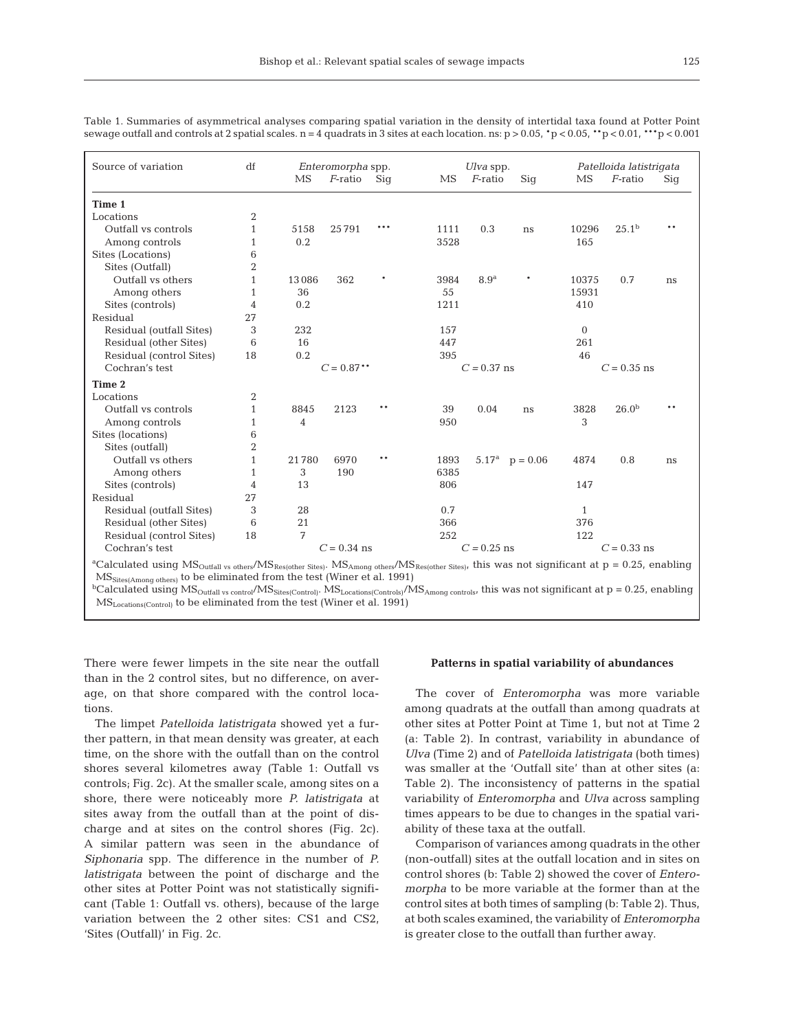| Source of variation                                                                                                                                                                                                                                                                                          | df             | Enteromorpha spp. |               |       |      | Ulva spp.        |                              |              | Patelloida latistrigata |      |  |
|--------------------------------------------------------------------------------------------------------------------------------------------------------------------------------------------------------------------------------------------------------------------------------------------------------------|----------------|-------------------|---------------|-------|------|------------------|------------------------------|--------------|-------------------------|------|--|
|                                                                                                                                                                                                                                                                                                              |                | MS                | $F$ -ratio    | Sig   | MS   | $F$ -ratio       | Siq                          | MS           | $F$ -ratio              | Sig  |  |
| Time 1                                                                                                                                                                                                                                                                                                       |                |                   |               |       |      |                  |                              |              |                         |      |  |
| Locations                                                                                                                                                                                                                                                                                                    | 2              |                   |               |       |      |                  |                              |              |                         |      |  |
| Outfall vs controls                                                                                                                                                                                                                                                                                          | 1              | 5158              | 25791         | ***   | 1111 | 0.3              | ns                           | 10296        | 25.1 <sup>b</sup>       | $**$ |  |
| Among controls                                                                                                                                                                                                                                                                                               | 1              | 0.2               |               |       | 3528 |                  |                              | 165          |                         |      |  |
| Sites (Locations)                                                                                                                                                                                                                                                                                            | 6              |                   |               |       |      |                  |                              |              |                         |      |  |
| Sites (Outfall)                                                                                                                                                                                                                                                                                              | $\overline{2}$ |                   |               |       |      |                  |                              |              |                         |      |  |
| Outfall vs others                                                                                                                                                                                                                                                                                            | $\mathbf{1}$   | 13086             | 362           |       | 3984 | 8.9 <sup>a</sup> |                              | 10375        | 0.7                     | ns   |  |
| Among others                                                                                                                                                                                                                                                                                                 | 1              | 36                |               |       | 55   |                  |                              | 15931        |                         |      |  |
| Sites (controls)                                                                                                                                                                                                                                                                                             | 4              | 0.2               |               |       | 1211 |                  |                              | 410          |                         |      |  |
| Residual                                                                                                                                                                                                                                                                                                     | 27             |                   |               |       |      |                  |                              |              |                         |      |  |
| Residual (outfall Sites)                                                                                                                                                                                                                                                                                     | 3              | 232               |               |       | 157  |                  |                              | $\mathbf{0}$ |                         |      |  |
| Residual (other Sites)                                                                                                                                                                                                                                                                                       | 6              | 16                |               |       | 447  |                  |                              | 261          |                         |      |  |
| Residual (control Sites)                                                                                                                                                                                                                                                                                     | 18             | 0.2               |               |       | 395  |                  |                              | 46           |                         |      |  |
| Cochran's test                                                                                                                                                                                                                                                                                               |                |                   | $C = 0.87$ ** |       |      | $C = 0.37$ ns    |                              |              | $C = 0.35$ ns           |      |  |
| Time 2                                                                                                                                                                                                                                                                                                       |                |                   |               |       |      |                  |                              |              |                         |      |  |
| Locations                                                                                                                                                                                                                                                                                                    | $\overline{2}$ |                   |               |       |      |                  |                              |              |                         |      |  |
| Outfall vs controls                                                                                                                                                                                                                                                                                          | 1              | 8845              | 2123          | **    | 39   | 0.04             | ns                           | 3828         | 26.0 <sup>b</sup>       | * *  |  |
| Among controls                                                                                                                                                                                                                                                                                               | 1              | $\overline{4}$    |               |       | 950  |                  |                              | 3            |                         |      |  |
| Sites (locations)                                                                                                                                                                                                                                                                                            | 6              |                   |               |       |      |                  |                              |              |                         |      |  |
| Sites (outfall)                                                                                                                                                                                                                                                                                              | $\overline{2}$ |                   |               |       |      |                  |                              |              |                         |      |  |
| Outfall vs others                                                                                                                                                                                                                                                                                            | 1              | 21780             | 6970          | $***$ | 1893 |                  | 5.17 <sup>a</sup> $p = 0.06$ | 4874         | 0.8                     | ns   |  |
| Among others                                                                                                                                                                                                                                                                                                 | 1              | 3                 | 190           |       | 6385 |                  |                              |              |                         |      |  |
| Sites (controls)                                                                                                                                                                                                                                                                                             | 4              | 13                |               |       | 806  |                  |                              | 147          |                         |      |  |
| Residual                                                                                                                                                                                                                                                                                                     | 27             |                   |               |       |      |                  |                              |              |                         |      |  |
| Residual (outfall Sites)                                                                                                                                                                                                                                                                                     | 3              | 28                |               |       | 0.7  |                  |                              | 1            |                         |      |  |
| Residual (other Sites)                                                                                                                                                                                                                                                                                       | 6              | 21                |               |       | 366  |                  |                              | 376          |                         |      |  |
| Residual (control Sites)                                                                                                                                                                                                                                                                                     | 18             | 7                 |               |       | 252  |                  |                              | 122          |                         |      |  |
| Cochran's test                                                                                                                                                                                                                                                                                               |                |                   | $C = 0.34$ ns |       |      | $C = 0.25$ ns    |                              |              | $C = 0.33$ ns           |      |  |
| <sup>a</sup> Calculated using MS <sub>Outfall</sub> vs others/MS <sub>Res(other Sites)</sub> . MS <sub>Among others</sub> /MS <sub>Res(other Sites)</sub> , this was not significant at p = 0.25, enabling<br>MS <sub>Sites(Among others)</sub> to be eliminated from the test (Winer et al. 1991)<br>$bC-1$ |                |                   |               |       |      |                  |                              |              |                         |      |  |

Table 1. Summaries of asymmetrical analyses comparing spatial variation in the density of intertidal taxa found at Potter Point sewage outfall and controls at 2 spatial scales.  $n = 4$  quadrats in 3 sites at each location. ns:  $p > 0.05$ ,  $\rightarrow p < 0.05$ ,  $\rightarrow p < 0.01$ ,  $\rightarrow \rightarrow p < 0.001$ 

 $\rm~Calculated~using~MS_{Outfall~vs~control}/MS_{Sites(Control)}$ .  $\rm~MS_{Locations(Controls)}/MS_{Among~contolsr}$  this was not significant at  $\rm p$  = 0.25, enabling MSLocations(Control) to be eliminated from the test (Winer et al. 1991)

There were fewer limpets in the site near the outfall than in the 2 control sites, but no difference, on average, on that shore compared with the control locations.

The limpet *Patelloida latistrigata* showed yet a further pattern, in that mean density was greater, at each time, on the shore with the outfall than on the control shores several kilometres away (Table 1: Outfall vs controls; Fig. 2c). At the smaller scale, among sites on a shore, there were noticeably more *P. latistrigata* at sites away from the outfall than at the point of discharge and at sites on the control shores (Fig. 2c). A similar pattern was seen in the abundance of *Siphonaria* spp. The difference in the number of *P. latistrigata* between the point of discharge and the other sites at Potter Point was not statistically significant (Table 1: Outfall vs. others), because of the large variation between the 2 other sites: CS1 and CS2, 'Sites (Outfall)' in Fig. 2c.

## **Patterns in spatial variability of abundances**

The cover of *Enteromorpha* was more variable among quadrats at the outfall than among quadrats at other sites at Potter Point at Time 1, but not at Time 2 (a: Table 2). In contrast, variability in abundance of *Ulva* (Time 2) and of *Patelloida latistrigata* (both times) was smaller at the 'Outfall site' than at other sites (a: Table 2). The inconsistency of patterns in the spatial variability of *Enteromorpha* and *Ulva* across sampling times appears to be due to changes in the spatial variability of these taxa at the outfall.

Comparison of variances among quadrats in the other (non-outfall) sites at the outfall location and in sites on control shores (b: Table 2) showed the cover of *Enteromorpha* to be more variable at the former than at the control sites at both times of sampling (b: Table 2). Thus, at both scales examined, the variability of *Enteromorpha* is greater close to the outfall than further away.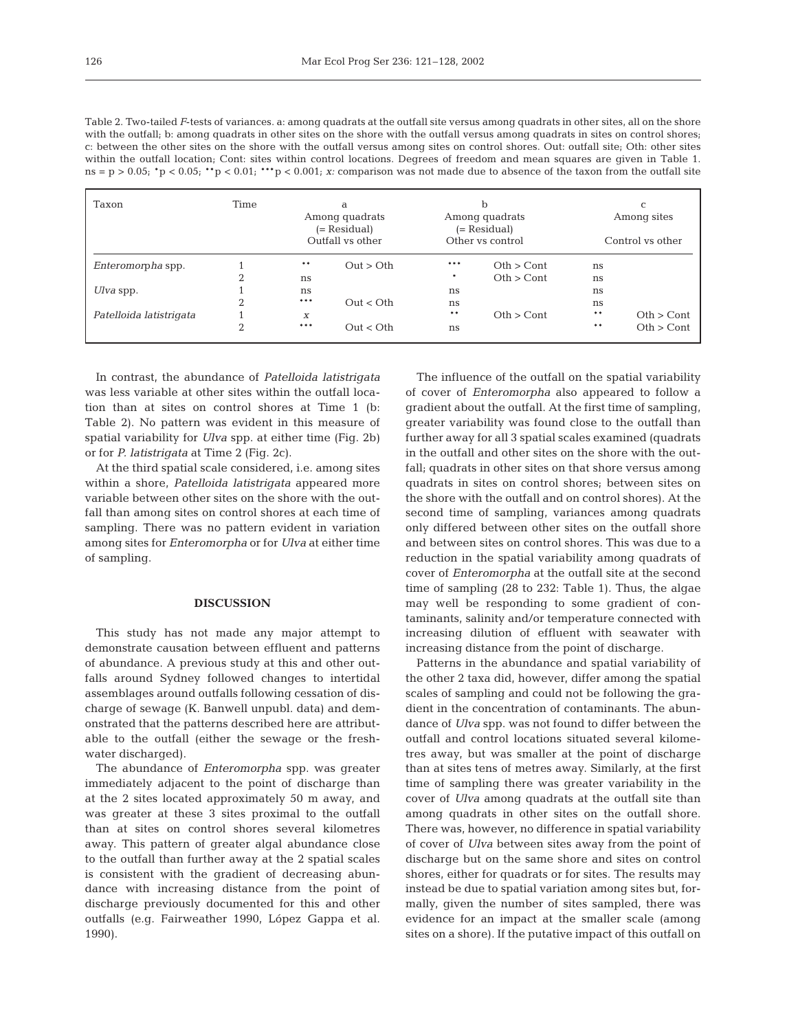| Table 2. Two-tailed F-tests of variances, a: among quadrats at the outfall site versus among quadrats in other sites, all on the shore              |
|-----------------------------------------------------------------------------------------------------------------------------------------------------|
| with the outfall, b: among quadrats in other sites on the shore with the outfall versus among quadrats in sites on control shores;                  |
| c: between the other sites on the shore with the outfall versus among sites on control shores. Out: outfall site; Oth: other sites                  |
| within the outfall location; Cont: sites within control locations. Degrees of freedom and mean squares are given in Table 1.                        |
| $ns = p > 0.05$ ; $p < 0.05$ ; $p < 0.01$ ; $p > 0.01$ ; $p > 0.001$ ; x: comparison was not made due to absence of the taxon from the outfall site |

| Taxon                   | Time     | a<br>Among quadrats<br>(= Residual)<br>Outfall vs other |           |       | b<br>Among quadrats<br>(= Residual) | C<br>Among sites<br>Control vs other |            |  |
|-------------------------|----------|---------------------------------------------------------|-----------|-------|-------------------------------------|--------------------------------------|------------|--|
|                         |          |                                                         |           |       | Other vs control                    |                                      |            |  |
| Enteromorpha spp.       |          | $* *$                                                   | Out > Oth | ***   | Oth > Cont                          | ns                                   |            |  |
|                         | ∩        | ns                                                      |           | *     | Oth > Cont                          | ns                                   |            |  |
| Ulva spp.               |          | ns                                                      |           | ns    |                                     | ns                                   |            |  |
|                         | $\Omega$ | ***                                                     | Out < Oth | ns    |                                     | ns                                   |            |  |
| Patelloida latistrigata |          | X                                                       |           | $* *$ | Oth > Cont                          | **                                   | Oth > Cont |  |
|                         | C        | ***                                                     | Out < Oth | ns    |                                     | $* *$                                | Oth > Cont |  |

In contrast, the abundance of *Patelloida latistrigata* was less variable at other sites within the outfall location than at sites on control shores at Time 1 (b: Table 2). No pattern was evident in this measure of spatial variability for *Ulva* spp. at either time (Fig. 2b) or for *P. latistrigata* at Time 2 (Fig. 2c).

At the third spatial scale considered, i.e. among sites within a shore, *Patelloida latistrigata* appeared more variable between other sites on the shore with the outfall than among sites on control shores at each time of sampling. There was no pattern evident in variation among sites for *Enteromorpha* or for *Ulva* at either time of sampling.

## **DISCUSSION**

This study has not made any major attempt to demonstrate causation between effluent and patterns of abundance. A previous study at this and other outfalls around Sydney followed changes to intertidal assemblages around outfalls following cessation of discharge of sewage (K. Banwell unpubl. data) and demonstrated that the patterns described here are attributable to the outfall (either the sewage or the freshwater discharged).

The abundance of *Enteromorpha* spp. was greater immediately adjacent to the point of discharge than at the 2 sites located approximately 50 m away, and was greater at these 3 sites proximal to the outfall than at sites on control shores several kilometres away. This pattern of greater algal abundance close to the outfall than further away at the 2 spatial scales is consistent with the gradient of decreasing abundance with increasing distance from the point of discharge previously documented for this and other outfalls (e.g. Fairweather 1990, López Gappa et al. 1990).

The influence of the outfall on the spatial variability of cover of *Enteromorpha* also appeared to follow a gradient about the outfall. At the first time of sampling, greater variability was found close to the outfall than further away for all 3 spatial scales examined (quadrats in the outfall and other sites on the shore with the outfall; quadrats in other sites on that shore versus among quadrats in sites on control shores; between sites on the shore with the outfall and on control shores). At the second time of sampling, variances among quadrats only differed between other sites on the outfall shore and between sites on control shores. This was due to a reduction in the spatial variability among quadrats of cover of *Enteromorpha* at the outfall site at the second time of sampling (28 to 232: Table 1). Thus, the algae may well be responding to some gradient of contaminants, salinity and/or temperature connected with increasing dilution of effluent with seawater with increasing distance from the point of discharge.

Patterns in the abundance and spatial variability of the other 2 taxa did, however, differ among the spatial scales of sampling and could not be following the gradient in the concentration of contaminants. The abundance of *Ulva* spp. was not found to differ between the outfall and control locations situated several kilometres away, but was smaller at the point of discharge than at sites tens of metres away. Similarly, at the first time of sampling there was greater variability in the cover of *Ulva* among quadrats at the outfall site than among quadrats in other sites on the outfall shore. There was, however, no difference in spatial variability of cover of *Ulva* between sites away from the point of discharge but on the same shore and sites on control shores, either for quadrats or for sites. The results may instead be due to spatial variation among sites but, formally, given the number of sites sampled, there was evidence for an impact at the smaller scale (among sites on a shore). If the putative impact of this outfall on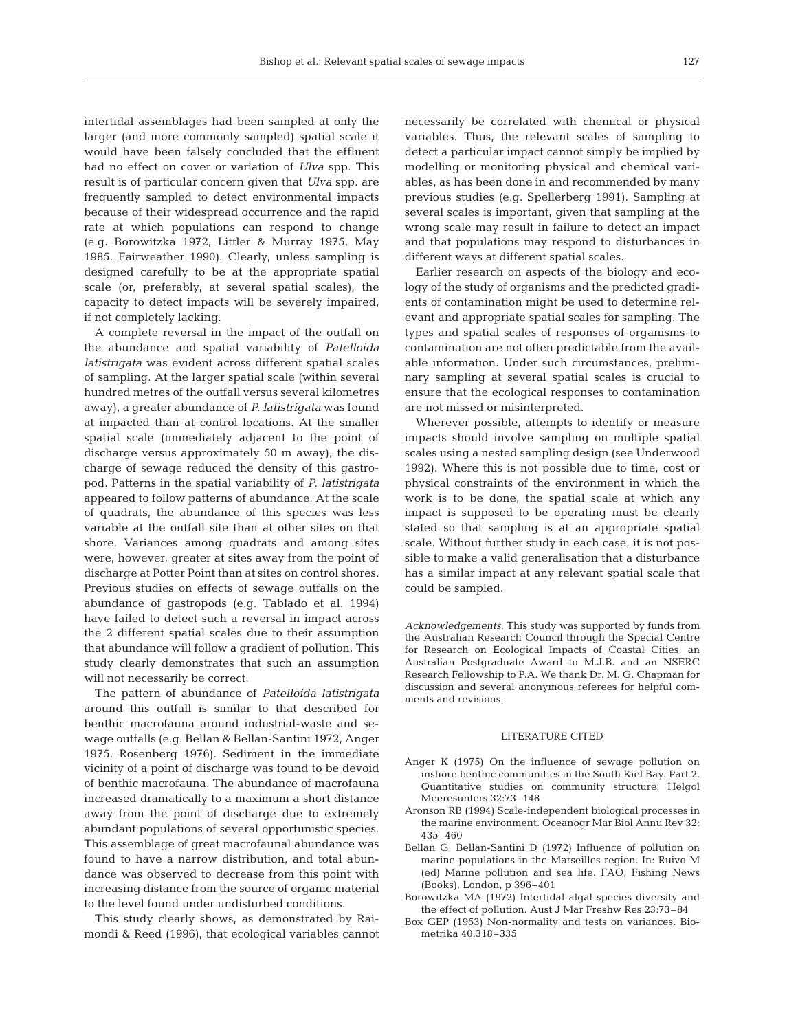intertidal assemblages had been sampled at only the larger (and more commonly sampled) spatial scale it would have been falsely concluded that the effluent had no effect on cover or variation of *Ulva* spp. This result is of particular concern given that *Ulva* spp. are frequently sampled to detect environmental impacts because of their widespread occurrence and the rapid rate at which populations can respond to change (e.g. Borowitzka 1972, Littler & Murray 1975, May 1985, Fairweather 1990). Clearly, unless sampling is designed carefully to be at the appropriate spatial scale (or, preferably, at several spatial scales), the capacity to detect impacts will be severely impaired, if not completely lacking.

A complete reversal in the impact of the outfall on the abundance and spatial variability of *Patelloida latistrigata* was evident across different spatial scales of sampling. At the larger spatial scale (within several hundred metres of the outfall versus several kilometres away), a greater abundance of *P. latistrigata* was found at impacted than at control locations. At the smaller spatial scale (immediately adjacent to the point of discharge versus approximately 50 m away), the discharge of sewage reduced the density of this gastropod. Patterns in the spatial variability of *P. latistrigata* appeared to follow patterns of abundance. At the scale of quadrats, the abundance of this species was less variable at the outfall site than at other sites on that shore. Variances among quadrats and among sites were, however, greater at sites away from the point of discharge at Potter Point than at sites on control shores. Previous studies on effects of sewage outfalls on the abundance of gastropods (e.g. Tablado et al. 1994) have failed to detect such a reversal in impact across the 2 different spatial scales due to their assumption that abundance will follow a gradient of pollution. This study clearly demonstrates that such an assumption will not necessarily be correct.

The pattern of abundance of *Patelloida latistrigata* around this outfall is similar to that described for benthic macrofauna around industrial-waste and sewage outfalls (e.g. Bellan & Bellan-Santini 1972, Anger 1975, Rosenberg 1976). Sediment in the immediate vicinity of a point of discharge was found to be devoid of benthic macrofauna. The abundance of macrofauna increased dramatically to a maximum a short distance away from the point of discharge due to extremely abundant populations of several opportunistic species. This assemblage of great macrofaunal abundance was found to have a narrow distribution, and total abundance was observed to decrease from this point with increasing distance from the source of organic material to the level found under undisturbed conditions.

This study clearly shows, as demonstrated by Raimondi & Reed (1996), that ecological variables cannot necessarily be correlated with chemical or physical variables. Thus, the relevant scales of sampling to detect a particular impact cannot simply be implied by modelling or monitoring physical and chemical variables, as has been done in and recommended by many previous studies (e.g. Spellerberg 1991). Sampling at several scales is important, given that sampling at the wrong scale may result in failure to detect an impact and that populations may respond to disturbances in different ways at different spatial scales.

Earlier research on aspects of the biology and ecology of the study of organisms and the predicted gradients of contamination might be used to determine relevant and appropriate spatial scales for sampling. The types and spatial scales of responses of organisms to contamination are not often predictable from the available information. Under such circumstances, preliminary sampling at several spatial scales is crucial to ensure that the ecological responses to contamination are not missed or misinterpreted.

Wherever possible, attempts to identify or measure impacts should involve sampling on multiple spatial scales using a nested sampling design (see Underwood 1992). Where this is not possible due to time, cost or physical constraints of the environment in which the work is to be done, the spatial scale at which any impact is supposed to be operating must be clearly stated so that sampling is at an appropriate spatial scale. Without further study in each case, it is not possible to make a valid generalisation that a disturbance has a similar impact at any relevant spatial scale that could be sampled.

*Acknowledgements.* This study was supported by funds from the Australian Research Council through the Special Centre for Research on Ecological Impacts of Coastal Cities, an Australian Postgraduate Award to M.J.B. and an NSERC Research Fellowship to P.A. We thank Dr. M. G. Chapman for discussion and several anonymous referees for helpful comments and revisions.

#### LITERATURE CITED

- Anger K (1975) On the influence of sewage pollution on inshore benthic communities in the South Kiel Bay. Part 2. Quantitative studies on community structure. Helgol Meeresunters 32:73–148
- Aronson RB (1994) Scale-independent biological processes in the marine environment. Oceanogr Mar Biol Annu Rev 32: 435–460
- Bellan G, Bellan-Santini D (1972) Influence of pollution on marine populations in the Marseilles region. In: Ruivo M (ed) Marine pollution and sea life. FAO, Fishing News (Books), London, p 396–401
- Borowitzka MA (1972) Intertidal algal species diversity and the effect of pollution. Aust J Mar Freshw Res 23:73–84
- Box GEP (1953) Non-normality and tests on variances. Biometrika 40:318–335